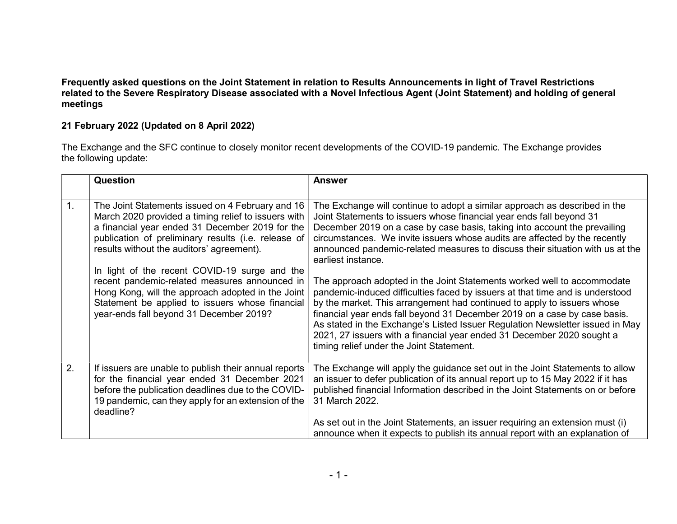## Frequently asked questions on the Joint Statement in relation to Results Announcements in light of Travel Restrictions related to the Severe Respiratory Disease associated with a Novel Infectious Agent (Joint Statement) and holding of general meetings

## 21 February 2022 (Updated on 8 April 2022)

The Exchange and the SFC continue to closely monitor recent developments of the COVID-19 pandemic. The Exchange provides the following update:

|                  | Question                                                                                                                                                                                                                                                                                                                                                                                                                                                                                                            | <b>Answer</b>                                                                                                                                                                                                                                                                                                                                                                                                                                                                                                                                                                                                                                                                                                                                                                                                                                                                                                                                   |
|------------------|---------------------------------------------------------------------------------------------------------------------------------------------------------------------------------------------------------------------------------------------------------------------------------------------------------------------------------------------------------------------------------------------------------------------------------------------------------------------------------------------------------------------|-------------------------------------------------------------------------------------------------------------------------------------------------------------------------------------------------------------------------------------------------------------------------------------------------------------------------------------------------------------------------------------------------------------------------------------------------------------------------------------------------------------------------------------------------------------------------------------------------------------------------------------------------------------------------------------------------------------------------------------------------------------------------------------------------------------------------------------------------------------------------------------------------------------------------------------------------|
| 1.               | The Joint Statements issued on 4 February and 16<br>March 2020 provided a timing relief to issuers with<br>a financial year ended 31 December 2019 for the<br>publication of preliminary results (i.e. release of<br>results without the auditors' agreement).<br>In light of the recent COVID-19 surge and the<br>recent pandemic-related measures announced in<br>Hong Kong, will the approach adopted in the Joint<br>Statement be applied to issuers whose financial<br>year-ends fall beyond 31 December 2019? | The Exchange will continue to adopt a similar approach as described in the<br>Joint Statements to issuers whose financial year ends fall beyond 31<br>December 2019 on a case by case basis, taking into account the prevailing<br>circumstances. We invite issuers whose audits are affected by the recently<br>announced pandemic-related measures to discuss their situation with us at the<br>earliest instance.<br>The approach adopted in the Joint Statements worked well to accommodate<br>pandemic-induced difficulties faced by issuers at that time and is understood<br>by the market. This arrangement had continued to apply to issuers whose<br>financial year ends fall beyond 31 December 2019 on a case by case basis.<br>As stated in the Exchange's Listed Issuer Regulation Newsletter issued in May<br>2021, 27 issuers with a financial year ended 31 December 2020 sought a<br>timing relief under the Joint Statement. |
| $\overline{2}$ . | If issuers are unable to publish their annual reports<br>for the financial year ended 31 December 2021<br>before the publication deadlines due to the COVID-<br>19 pandemic, can they apply for an extension of the<br>deadline?                                                                                                                                                                                                                                                                                    | The Exchange will apply the guidance set out in the Joint Statements to allow<br>an issuer to defer publication of its annual report up to 15 May 2022 if it has<br>published financial Information described in the Joint Statements on or before<br>31 March 2022.<br>As set out in the Joint Statements, an issuer requiring an extension must (i)<br>announce when it expects to publish its annual report with an explanation of                                                                                                                                                                                                                                                                                                                                                                                                                                                                                                           |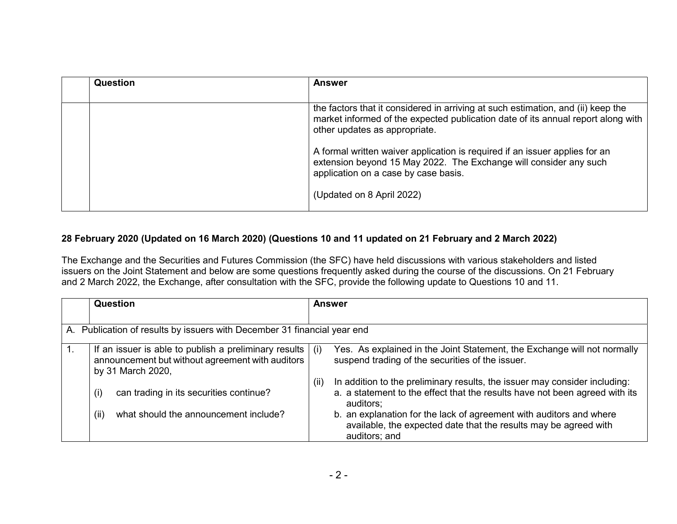| Question | <b>Answer</b>                                                                                                                                                                                         |
|----------|-------------------------------------------------------------------------------------------------------------------------------------------------------------------------------------------------------|
|          | the factors that it considered in arriving at such estimation, and (ii) keep the<br>market informed of the expected publication date of its annual report along with<br>other updates as appropriate. |
|          | A formal written waiver application is required if an issuer applies for an<br>extension beyond 15 May 2022. The Exchange will consider any such<br>application on a case by case basis.              |
|          | (Updated on 8 April 2022)                                                                                                                                                                             |

## 28 February 2020 (Updated on 16 March 2020) (Questions 10 and 11 updated on 21 February and 2 March 2022)

The Exchange and the Securities and Futures Commission (the SFC) have held discussions with various stakeholders and listed issuers on the Joint Statement and below are some questions frequently asked during the course of the discussions. On 21 February and 2 March 2022, the Exchange, after consultation with the SFC, provide the following update to Questions 10 and 11.

| Question                                                                                                                         |      | <b>Answer</b>                                                                                                                                                          |
|----------------------------------------------------------------------------------------------------------------------------------|------|------------------------------------------------------------------------------------------------------------------------------------------------------------------------|
|                                                                                                                                  |      |                                                                                                                                                                        |
| A. Publication of results by issuers with December 31 financial year end                                                         |      |                                                                                                                                                                        |
| If an issuer is able to publish a preliminary results  <br>announcement but without agreement with auditors<br>by 31 March 2020, | (i)  | Yes. As explained in the Joint Statement, the Exchange will not normally<br>suspend trading of the securities of the issuer.                                           |
| can trading in its securities continue?<br>(i)                                                                                   | (ii) | In addition to the preliminary results, the issuer may consider including:<br>a. a statement to the effect that the results have not been agreed with its<br>auditors; |
| what should the announcement include?<br>(ii)                                                                                    |      | b. an explanation for the lack of agreement with auditors and where<br>available, the expected date that the results may be agreed with<br>auditors; and               |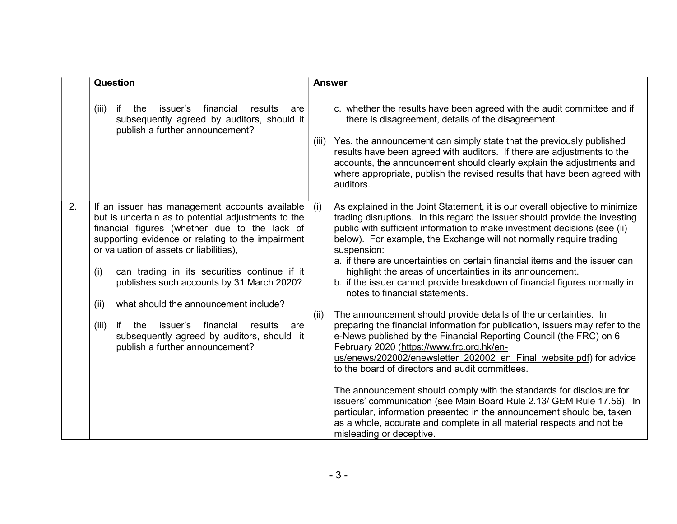|    | <b>Question</b>                                                                                                                                                                                                                                                                                                                                                                                             | <b>Answer</b> |                                                                                                                                                                                                                                                                                                                                                                                                                                                                                                                                                                                                                                                                                                                                |
|----|-------------------------------------------------------------------------------------------------------------------------------------------------------------------------------------------------------------------------------------------------------------------------------------------------------------------------------------------------------------------------------------------------------------|---------------|--------------------------------------------------------------------------------------------------------------------------------------------------------------------------------------------------------------------------------------------------------------------------------------------------------------------------------------------------------------------------------------------------------------------------------------------------------------------------------------------------------------------------------------------------------------------------------------------------------------------------------------------------------------------------------------------------------------------------------|
|    | issuer's<br>if<br>financial<br>(iii)<br>the<br>results<br>are<br>subsequently agreed by auditors, should it<br>publish a further announcement?                                                                                                                                                                                                                                                              | (iii)         | c. whether the results have been agreed with the audit committee and if<br>there is disagreement, details of the disagreement.<br>Yes, the announcement can simply state that the previously published<br>results have been agreed with auditors. If there are adjustments to the<br>accounts, the announcement should clearly explain the adjustments and<br>where appropriate, publish the revised results that have been agreed with<br>auditors.                                                                                                                                                                                                                                                                           |
| 2. | If an issuer has management accounts available<br>but is uncertain as to potential adjustments to the<br>financial figures (whether due to the lack of<br>supporting evidence or relating to the impairment<br>or valuation of assets or liabilities),<br>(i)<br>can trading in its securities continue if it<br>publishes such accounts by 31 March 2020?<br>what should the announcement include?<br>(ii) | (i)           | As explained in the Joint Statement, it is our overall objective to minimize<br>trading disruptions. In this regard the issuer should provide the investing<br>public with sufficient information to make investment decisions (see (ii)<br>below). For example, the Exchange will not normally require trading<br>suspension:<br>a. if there are uncertainties on certain financial items and the issuer can<br>highlight the areas of uncertainties in its announcement.<br>b. if the issuer cannot provide breakdown of financial figures normally in<br>notes to financial statements.                                                                                                                                     |
|    | issuer's<br>financial<br>(iii)<br>if<br>results<br>the<br>are<br>subsequently agreed by auditors, should it<br>publish a further announcement?                                                                                                                                                                                                                                                              | (ii)          | The announcement should provide details of the uncertainties. In<br>preparing the financial information for publication, issuers may refer to the<br>e-News published by the Financial Reporting Council (the FRC) on 6<br>February 2020 (https://www.frc.org.hk/en-<br>us/enews/202002/enewsletter 202002 en Final website.pdf) for advice<br>to the board of directors and audit committees.<br>The announcement should comply with the standards for disclosure for<br>issuers' communication (see Main Board Rule 2.13/ GEM Rule 17.56). In<br>particular, information presented in the announcement should be, taken<br>as a whole, accurate and complete in all material respects and not be<br>misleading or deceptive. |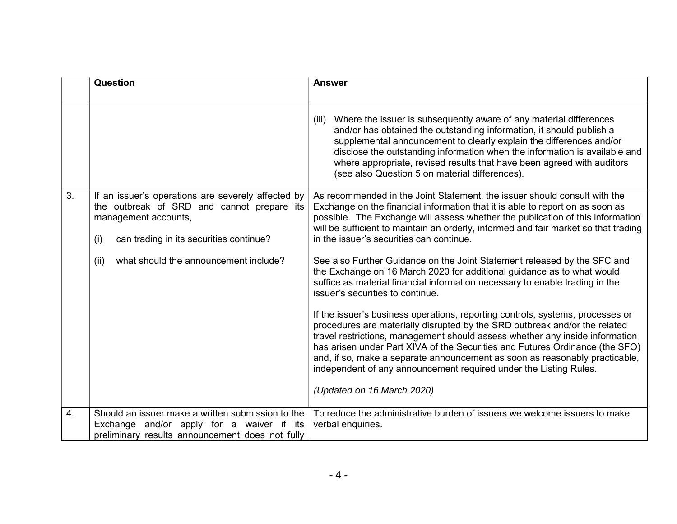|                  | Question                                                                                                                                                                                                                    | <b>Answer</b>                                                                                                                                                                                                                                                                                                                                                                                                                                                                                                                                                                                                                                                                                                                                                                                                                                                                                                                                                                                                                                                                                                                                                               |
|------------------|-----------------------------------------------------------------------------------------------------------------------------------------------------------------------------------------------------------------------------|-----------------------------------------------------------------------------------------------------------------------------------------------------------------------------------------------------------------------------------------------------------------------------------------------------------------------------------------------------------------------------------------------------------------------------------------------------------------------------------------------------------------------------------------------------------------------------------------------------------------------------------------------------------------------------------------------------------------------------------------------------------------------------------------------------------------------------------------------------------------------------------------------------------------------------------------------------------------------------------------------------------------------------------------------------------------------------------------------------------------------------------------------------------------------------|
|                  |                                                                                                                                                                                                                             | Where the issuer is subsequently aware of any material differences<br>(iii)<br>and/or has obtained the outstanding information, it should publish a<br>supplemental announcement to clearly explain the differences and/or<br>disclose the outstanding information when the information is available and<br>where appropriate, revised results that have been agreed with auditors<br>(see also Question 5 on material differences).                                                                                                                                                                                                                                                                                                                                                                                                                                                                                                                                                                                                                                                                                                                                        |
| 3.               | If an issuer's operations are severely affected by<br>the outbreak of SRD and cannot prepare its<br>management accounts,<br>can trading in its securities continue?<br>(i)<br>what should the announcement include?<br>(ii) | As recommended in the Joint Statement, the issuer should consult with the<br>Exchange on the financial information that it is able to report on as soon as<br>possible. The Exchange will assess whether the publication of this information<br>will be sufficient to maintain an orderly, informed and fair market so that trading<br>in the issuer's securities can continue.<br>See also Further Guidance on the Joint Statement released by the SFC and<br>the Exchange on 16 March 2020 for additional guidance as to what would<br>suffice as material financial information necessary to enable trading in the<br>issuer's securities to continue.<br>If the issuer's business operations, reporting controls, systems, processes or<br>procedures are materially disrupted by the SRD outbreak and/or the related<br>travel restrictions, management should assess whether any inside information<br>has arisen under Part XIVA of the Securities and Futures Ordinance (the SFO)<br>and, if so, make a separate announcement as soon as reasonably practicable,<br>independent of any announcement required under the Listing Rules.<br>(Updated on 16 March 2020) |
| $\overline{4}$ . | Should an issuer make a written submission to the<br>Exchange and/or apply for a waiver if its<br>preliminary results announcement does not fully                                                                           | To reduce the administrative burden of issuers we welcome issuers to make<br>verbal enquiries.                                                                                                                                                                                                                                                                                                                                                                                                                                                                                                                                                                                                                                                                                                                                                                                                                                                                                                                                                                                                                                                                              |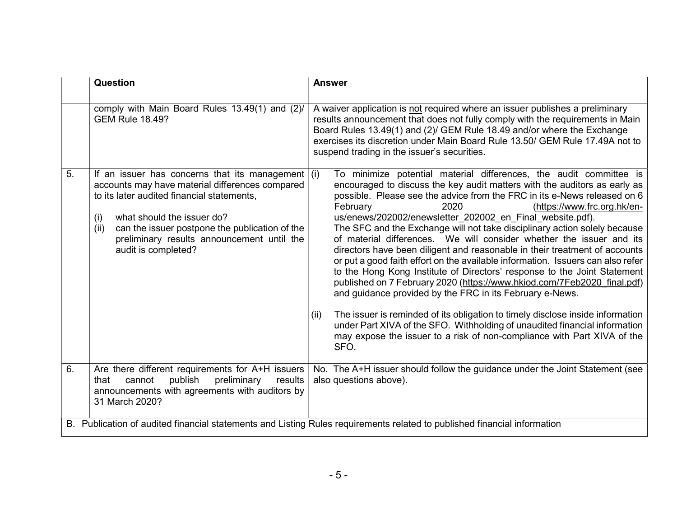|    | Question                                                                                                                                                                                                                                                                                                                 | <b>Answer</b>                                                                                                                                                                                                                                                                                                                                                                                                                                                                                                                                                                                                                                                                                                                                                                                                                                                                                                                                                                                                                                                                                                                                   |
|----|--------------------------------------------------------------------------------------------------------------------------------------------------------------------------------------------------------------------------------------------------------------------------------------------------------------------------|-------------------------------------------------------------------------------------------------------------------------------------------------------------------------------------------------------------------------------------------------------------------------------------------------------------------------------------------------------------------------------------------------------------------------------------------------------------------------------------------------------------------------------------------------------------------------------------------------------------------------------------------------------------------------------------------------------------------------------------------------------------------------------------------------------------------------------------------------------------------------------------------------------------------------------------------------------------------------------------------------------------------------------------------------------------------------------------------------------------------------------------------------|
|    | comply with Main Board Rules 13.49(1) and (2)/<br><b>GEM Rule 18.49?</b>                                                                                                                                                                                                                                                 | A waiver application is not required where an issuer publishes a preliminary<br>results announcement that does not fully comply with the requirements in Main<br>Board Rules 13.49(1) and (2)/ GEM Rule 18.49 and/or where the Exchange<br>exercises its discretion under Main Board Rule 13.50/ GEM Rule 17.49A not to<br>suspend trading in the issuer's securities.                                                                                                                                                                                                                                                                                                                                                                                                                                                                                                                                                                                                                                                                                                                                                                          |
| 5. | If an issuer has concerns that its management $(i)$<br>accounts may have material differences compared<br>to its later audited financial statements,<br>what should the issuer do?<br>(i)<br>can the issuer postpone the publication of the<br>(ii)<br>preliminary results announcement until the<br>audit is completed? | To minimize potential material differences, the audit committee is<br>encouraged to discuss the key audit matters with the auditors as early as<br>possible. Please see the advice from the FRC in its e-News released on 6<br>February<br>2020<br>(https://www.frc.org.hk/en-<br>us/enews/202002/enewsletter 202002 en Final website.pdf).<br>The SFC and the Exchange will not take disciplinary action solely because<br>of material differences. We will consider whether the issuer and its<br>directors have been diligent and reasonable in their treatment of accounts<br>or put a good faith effort on the available information. Issuers can also refer<br>to the Hong Kong Institute of Directors' response to the Joint Statement<br>published on 7 February 2020 (https://www.hkiod.com/7Feb2020_final.pdf)<br>and guidance provided by the FRC in its February e-News.<br>The issuer is reminded of its obligation to timely disclose inside information<br>(ii)<br>under Part XIVA of the SFO. Withholding of unaudited financial information<br>may expose the issuer to a risk of non-compliance with Part XIVA of the<br>SFO. |
| 6. | Are there different requirements for A+H issuers<br>publish<br>preliminary<br>that<br>cannot<br>results<br>announcements with agreements with auditors by<br>31 March 2020?                                                                                                                                              | No. The A+H issuer should follow the guidance under the Joint Statement (see<br>also questions above).                                                                                                                                                                                                                                                                                                                                                                                                                                                                                                                                                                                                                                                                                                                                                                                                                                                                                                                                                                                                                                          |
|    |                                                                                                                                                                                                                                                                                                                          | B. Publication of audited financial statements and Listing Rules requirements related to published financial information                                                                                                                                                                                                                                                                                                                                                                                                                                                                                                                                                                                                                                                                                                                                                                                                                                                                                                                                                                                                                        |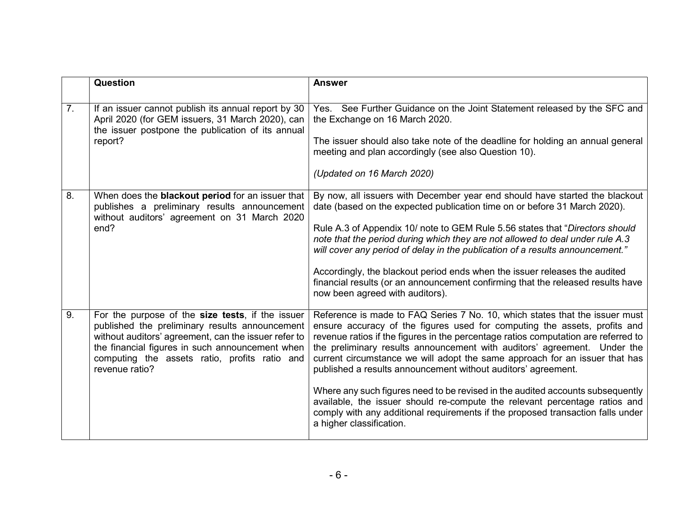|                | <b>Question</b>                                                                                                                                                                                                                                                                  | <b>Answer</b>                                                                                                                                                                                                                                                                                                                                                                                                                                                                                                                                                                                                                                                                                                                                             |
|----------------|----------------------------------------------------------------------------------------------------------------------------------------------------------------------------------------------------------------------------------------------------------------------------------|-----------------------------------------------------------------------------------------------------------------------------------------------------------------------------------------------------------------------------------------------------------------------------------------------------------------------------------------------------------------------------------------------------------------------------------------------------------------------------------------------------------------------------------------------------------------------------------------------------------------------------------------------------------------------------------------------------------------------------------------------------------|
| 7 <sub>1</sub> | If an issuer cannot publish its annual report by 30<br>April 2020 (for GEM issuers, 31 March 2020), can<br>the issuer postpone the publication of its annual<br>report?                                                                                                          | Yes. See Further Guidance on the Joint Statement released by the SFC and<br>the Exchange on 16 March 2020.<br>The issuer should also take note of the deadline for holding an annual general<br>meeting and plan accordingly (see also Question 10).<br>(Updated on 16 March 2020)                                                                                                                                                                                                                                                                                                                                                                                                                                                                        |
| 8.             | When does the <b>blackout period</b> for an issuer that<br>publishes a preliminary results announcement<br>without auditors' agreement on 31 March 2020<br>end?                                                                                                                  | By now, all issuers with December year end should have started the blackout<br>date (based on the expected publication time on or before 31 March 2020).<br>Rule A.3 of Appendix 10/ note to GEM Rule 5.56 states that "Directors should<br>note that the period during which they are not allowed to deal under rule A.3<br>will cover any period of delay in the publication of a results announcement."<br>Accordingly, the blackout period ends when the issuer releases the audited<br>financial results (or an announcement confirming that the released results have<br>now been agreed with auditors).                                                                                                                                            |
| 9.             | For the purpose of the size tests, if the issuer<br>published the preliminary results announcement<br>without auditors' agreement, can the issuer refer to<br>the financial figures in such announcement when<br>computing the assets ratio, profits ratio and<br>revenue ratio? | Reference is made to FAQ Series 7 No. 10, which states that the issuer must<br>ensure accuracy of the figures used for computing the assets, profits and<br>revenue ratios if the figures in the percentage ratios computation are referred to<br>the preliminary results announcement with auditors' agreement. Under the<br>current circumstance we will adopt the same approach for an issuer that has<br>published a results announcement without auditors' agreement.<br>Where any such figures need to be revised in the audited accounts subsequently<br>available, the issuer should re-compute the relevant percentage ratios and<br>comply with any additional requirements if the proposed transaction falls under<br>a higher classification. |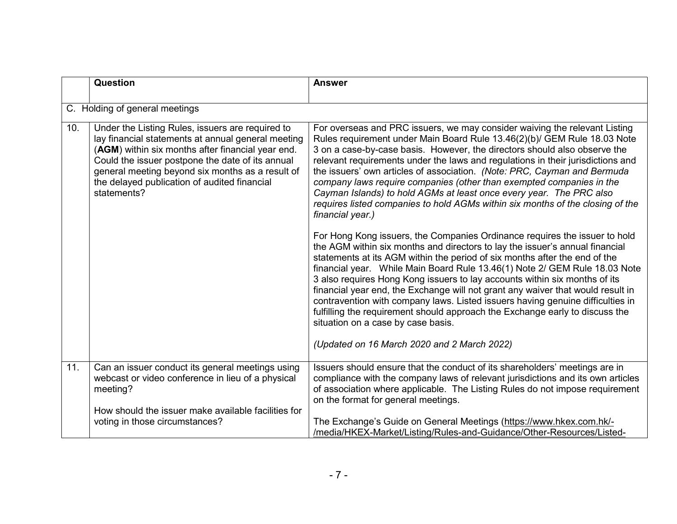|     | Question                                                                                                                                                                                                                                                                                                                           | <b>Answer</b>                                                                                                                                                                                                                                                                                                                                                                                                                                                                                                                                                                                                                                                                                                                                  |
|-----|------------------------------------------------------------------------------------------------------------------------------------------------------------------------------------------------------------------------------------------------------------------------------------------------------------------------------------|------------------------------------------------------------------------------------------------------------------------------------------------------------------------------------------------------------------------------------------------------------------------------------------------------------------------------------------------------------------------------------------------------------------------------------------------------------------------------------------------------------------------------------------------------------------------------------------------------------------------------------------------------------------------------------------------------------------------------------------------|
|     |                                                                                                                                                                                                                                                                                                                                    |                                                                                                                                                                                                                                                                                                                                                                                                                                                                                                                                                                                                                                                                                                                                                |
|     | C. Holding of general meetings                                                                                                                                                                                                                                                                                                     |                                                                                                                                                                                                                                                                                                                                                                                                                                                                                                                                                                                                                                                                                                                                                |
| 10. | Under the Listing Rules, issuers are required to<br>lay financial statements at annual general meeting<br>(AGM) within six months after financial year end.<br>Could the issuer postpone the date of its annual<br>general meeting beyond six months as a result of<br>the delayed publication of audited financial<br>statements? | For overseas and PRC issuers, we may consider waiving the relevant Listing<br>Rules requirement under Main Board Rule 13.46(2)(b)/ GEM Rule 18.03 Note<br>3 on a case-by-case basis. However, the directors should also observe the<br>relevant requirements under the laws and regulations in their jurisdictions and<br>the issuers' own articles of association. (Note: PRC, Cayman and Bermuda<br>company laws require companies (other than exempted companies in the<br>Cayman Islands) to hold AGMs at least once every year. The PRC also<br>requires listed companies to hold AGMs within six months of the closing of the<br>financial year.)                                                                                        |
|     |                                                                                                                                                                                                                                                                                                                                    | For Hong Kong issuers, the Companies Ordinance requires the issuer to hold<br>the AGM within six months and directors to lay the issuer's annual financial<br>statements at its AGM within the period of six months after the end of the<br>financial year. While Main Board Rule 13.46(1) Note 2/ GEM Rule 18.03 Note<br>3 also requires Hong Kong issuers to lay accounts within six months of its<br>financial year end, the Exchange will not grant any waiver that would result in<br>contravention with company laws. Listed issuers having genuine difficulties in<br>fulfilling the requirement should approach the Exchange early to discuss the<br>situation on a case by case basis.<br>(Updated on 16 March 2020 and 2 March 2022) |
| 11. | Can an issuer conduct its general meetings using<br>webcast or video conference in lieu of a physical<br>meeting?                                                                                                                                                                                                                  | Issuers should ensure that the conduct of its shareholders' meetings are in<br>compliance with the company laws of relevant jurisdictions and its own articles<br>of association where applicable. The Listing Rules do not impose requirement<br>on the format for general meetings.                                                                                                                                                                                                                                                                                                                                                                                                                                                          |
|     | How should the issuer make available facilities for<br>voting in those circumstances?                                                                                                                                                                                                                                              | The Exchange's Guide on General Meetings (https://www.hkex.com.hk/-<br>/media/HKEX-Market/Listing/Rules-and-Guidance/Other-Resources/Listed-                                                                                                                                                                                                                                                                                                                                                                                                                                                                                                                                                                                                   |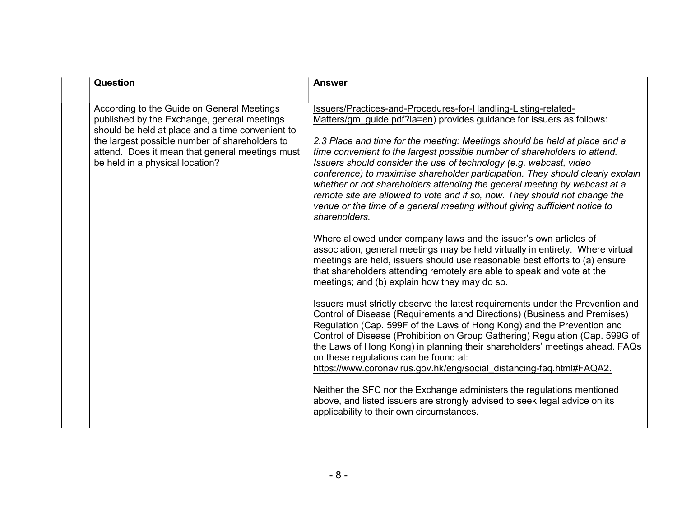| Question                                                                                                                                                                                                                                                                              | <b>Answer</b>                                                                                                                                                                                                                                                                                                                                                                                                                                                                                                                                                                                                                                                                                                                                                                                                                                                                                                                                                                                                                                                                                                                                                                                                                                                                                                                                                                                                                                                                                                                                                                                                                                                                                                                                                                                                      |
|---------------------------------------------------------------------------------------------------------------------------------------------------------------------------------------------------------------------------------------------------------------------------------------|--------------------------------------------------------------------------------------------------------------------------------------------------------------------------------------------------------------------------------------------------------------------------------------------------------------------------------------------------------------------------------------------------------------------------------------------------------------------------------------------------------------------------------------------------------------------------------------------------------------------------------------------------------------------------------------------------------------------------------------------------------------------------------------------------------------------------------------------------------------------------------------------------------------------------------------------------------------------------------------------------------------------------------------------------------------------------------------------------------------------------------------------------------------------------------------------------------------------------------------------------------------------------------------------------------------------------------------------------------------------------------------------------------------------------------------------------------------------------------------------------------------------------------------------------------------------------------------------------------------------------------------------------------------------------------------------------------------------------------------------------------------------------------------------------------------------|
| According to the Guide on General Meetings<br>published by the Exchange, general meetings<br>should be held at place and a time convenient to<br>the largest possible number of shareholders to<br>attend. Does it mean that general meetings must<br>be held in a physical location? | Issuers/Practices-and-Procedures-for-Handling-Listing-related-<br>Matters/gm guide.pdf?la=en) provides guidance for issuers as follows:<br>2.3 Place and time for the meeting: Meetings should be held at place and a<br>time convenient to the largest possible number of shareholders to attend.<br>Issuers should consider the use of technology (e.g. webcast, video<br>conference) to maximise shareholder participation. They should clearly explain<br>whether or not shareholders attending the general meeting by webcast at a<br>remote site are allowed to vote and if so, how. They should not change the<br>venue or the time of a general meeting without giving sufficient notice to<br>shareholders.<br>Where allowed under company laws and the issuer's own articles of<br>association, general meetings may be held virtually in entirety. Where virtual<br>meetings are held, issuers should use reasonable best efforts to (a) ensure<br>that shareholders attending remotely are able to speak and vote at the<br>meetings; and (b) explain how they may do so.<br>Issuers must strictly observe the latest requirements under the Prevention and<br>Control of Disease (Requirements and Directions) (Business and Premises)<br>Regulation (Cap. 599F of the Laws of Hong Kong) and the Prevention and<br>Control of Disease (Prohibition on Group Gathering) Regulation (Cap. 599G of<br>the Laws of Hong Kong) in planning their shareholders' meetings ahead. FAQs<br>on these regulations can be found at:<br>https://www.coronavirus.gov.hk/eng/social distancing-faq.html#FAQA2.<br>Neither the SFC nor the Exchange administers the regulations mentioned<br>above, and listed issuers are strongly advised to seek legal advice on its<br>applicability to their own circumstances. |